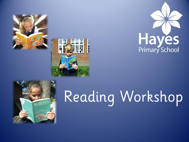







# Reading Workshop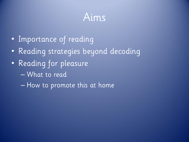#### Aims

- Importance of reading
- Reading strategies beyond decoding
- Reading for pleasure
	- What to read
	- How to promote this at home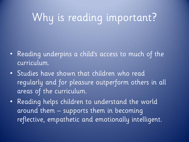# Why is reading important?

- Reading underpins a child's access to much of the curriculum.
- Studies have shown that children who read regularly and for pleasure outperform others in all areas of the curriculum.
- Reading helps children to understand the world around them – supports them in becoming reflective, empathetic and emotionally intelligent.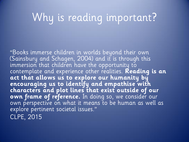## Why is reading important?

"Books immerse children in worlds beyond their own (Sainsbury and Schagen, 2004) and it is through this immersion that children have the opportunity to contemplate and experience other realities. **Reading is an act that allows us to explore our humanity by encouraging us to identify and empathise with characters and plot lines that exist outside of our own frame of reference.** In doing so, we consider our own perspective on what it means to be human as well as explore pertinent societal issues." CLPE, 2015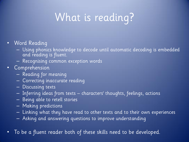# What is reading?

- Word Reading
	- Using phonics knowledge to decode until automatic decoding is embedded and reading is fluent.
	- Recognising common exception words
- Comprehension
	- Reading for meaning
	- Correcting inaccurate reading
	- Discussing texts
	- Inferring ideas from texts characters' thoughts, feelings, actions
	- Being able to retell stories
	- Making predictions
	- Linking what they have read to other texts and to their own experiences
	- Asking and answering questions to improve understanding
- To be a fluent reader both of these skills need to be developed.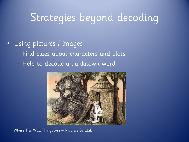#### • Using pictures / images – Find clues about characters and plots – Help to decode an unknown word



Where The Wild Things Are – Maurice Sendak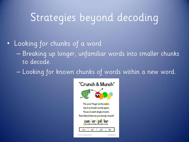- Looking for chunks of a word
	- Breaking up longer, unfamiliar words into smaller chunks to decode.
	- Looking for known chunks of words within a new word.

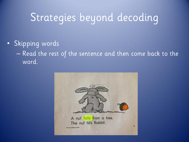• Skipping words

– Read the rest of the sentence and then come back to the word.

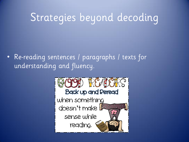• Re-reading sentences / paragraphs / texts for understanding and fluency.

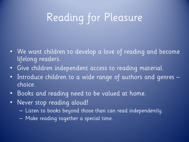# Reading for Pleasure

- We want children to develop a love of reading and become lifelong readers.
- Give children independent access to reading material.
- Introduce children to a wide range of authors and genres choice.
- Books and reading need to be valued at home.
- Never stop reading aloud!
	- Listen to books beyond those than can read independently.
	- Make reading together a special time.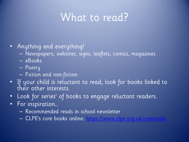#### What to read?

- Anything and everything!
	- Newspapers, websites, signs, leaflets, comics, magazines
	- eBooks
	- Poetry
	- Fiction and non-fiction
- If your child is reluctant to read, look for books linked to their other interests.
- Look for series' of books to engage reluctant readers.
- For inspiration…
	- Recommended reads in school newsletter
	- CLPE's core books online: https://www.clpe.org.uk/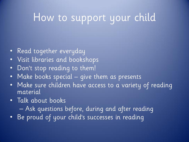### How to support your child

- Read together everyday
- Visit libraries and bookshops
- Don't stop reading to them!
- Make books special give them as presents
- Make sure children have access to a variety of reading material
- Talk about books
	- Ask questions before, during and after reading
- Be proud of your child's successes in reading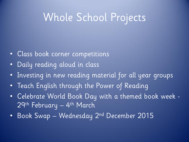#### Whole School Projects

- Class book corner competitions
- Daily reading aloud in class
- Investing in new reading material for all year groups
- Teach English through the Power of Reading
- Celebrate World Book Day with a themed book week 29<sup>th</sup> February — 4<sup>th</sup> March
- Book Swap Wednesday 2nd December 2015